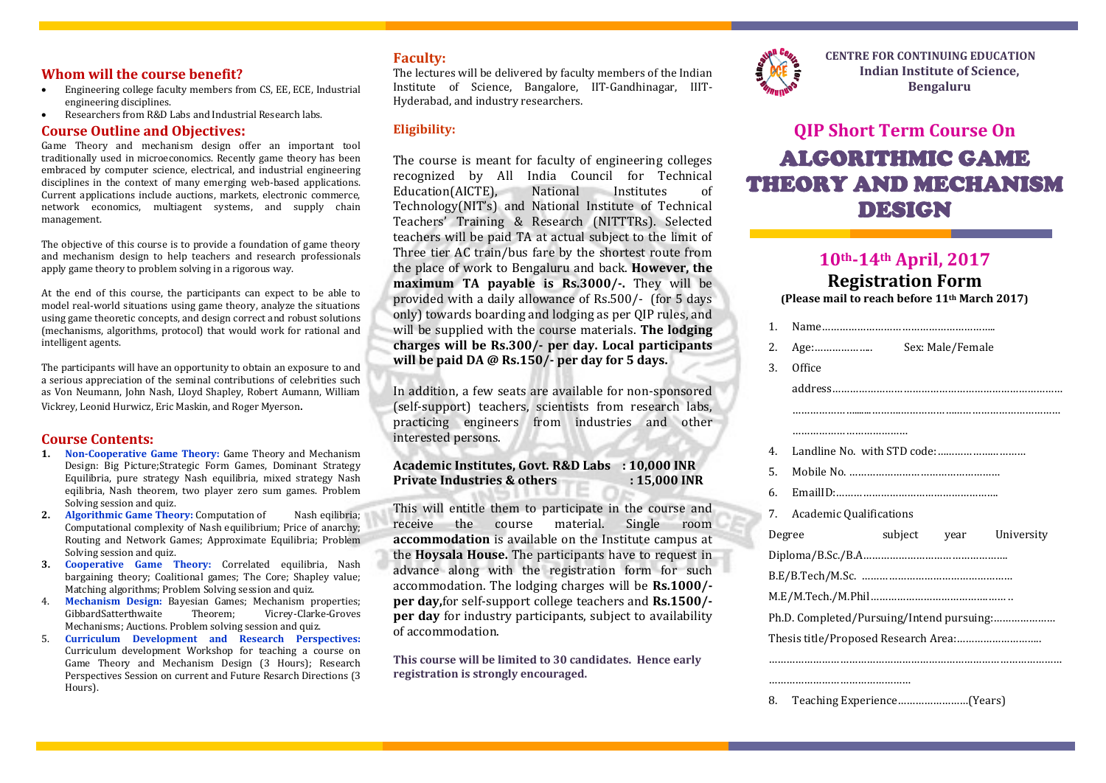#### **Whom will the course benefit?**

- Engineering college faculty members from CS, EE, ECE, Industrial engineering disciplines.
- Researchers from R&D Labs and Industrial Research labs.

#### **Course Outline and Objectives:**

Game Theory and mechanism design offer an important tool traditionally used in microeconomics. Recently game theory has been embraced by computer science, electrical, and industrial engineering disciplines in the context of many emerging web-based applications. Current applications include auctions, markets, electronic commerce, network economics, multiagent systems, and supply chain management.

The objective of this course is to provide a foundation of game theory and mechanism design to help teachers and research professionals apply game theory to problem solving in a rigorous way.

At the end of this course, the participants can expect to be able to model real-world situations using game theory, analyze the situations using game theoretic concepts, and design correct and robust solutions (mechanisms, algorithms, protocol) that would work for rational and intelligent agents.

The participants will have an opportunity to obtain an exposure to and a serious appreciation of the seminal contributions of celebrities such as Von Neumann, John Nash, Lloyd Shapley, Robert Aumann, William Vickrey, Leonid Hurwicz, Eric Maskin, and Roger Myerson.

#### **Course Contents:**

- **1. Non-Cooperative Game Theory:** Game Theory and Mechanism Design: Big Picture;Strategic Form Games, Dominant Strategy Equilibria, pure strategy Nash equilibria, mixed strategy Nash eqilibria. Nash theorem, two player zero sum games. Problem Solving session and quiz.
- **2. Algorithmic Game Theory:** Computation of Nash eqilibria; Computational complexity of Nash equilibrium; Price of anarchy; Routing and Network Games; Approximate Equilibria; Problem Solving session and quiz.
- **3. Cooperative Game Theory:** Correlated equilibria, Nash bargaining theory; Coalitional games; The Core; Shapley value; Matching algorithms; Problem Solving session and quiz.
- 4. **Mechanism Design:** Bayesian Games; Mechanism properties; Theorem: Vicrey-Clarke-Groves Mechanisms; Auctions. Problem solving session and quiz.
- 5. **Curriculum Development and Research Perspectives:**  Curriculum development Workshop for teaching a course on Game Theory and Mechanism Design (3 Hours); Research Perspectives Session on current and Future Resarch Directions (3 Hours).

#### **Faculty:**

The lectures will be delivered by faculty members of the Indian Institute of Science, Bangalore, IIT-Gandhinagar, IIIT-Hyderabad, and industry researchers.

#### **Eligibility:**

The course is meant for faculty of engineering colleges recognized by All India Council for Technical Education(AICTE), National Institutes of Technology(NIT's) and National Institute of Technical Teachers' Training & Research (NITTTRs). Selected teachers will be paid TA at actual subject to the limit of Three tier AC train/bus fare by the shortest route from the place of work to Bengaluru and back. **However, the maximum TA payable is Rs.3000/-.** They will be provided with a daily allowance of Rs.500/- (for 5 days only) towards boarding and lodging as per QIP rules, and will be supplied with the course materials. **The lodging charges will be Rs.300/- per day. Local participants will be paid DA @ Rs.150/- per day for 5 days.**

In addition, a few seats are available for non-sponsored (self-support) teachers, scientists from research labs, practicing engineers from industries and other interested persons.

**Academic Institutes, Govt. R&D Labs : 10,000 INR Private Industries & others : 15,000 INR**

This will entitle them to participate in the course and receive the course material. Single room **accommodation** is available on the Institute campus at the **Hoysala House.** The participants have to request in advance along with the registration form for such accommodation. The lodging charges will be **Rs.1000/ per day,**for self-support college teachers and **Rs.1500/ per day** for industry participants, subject to availability of accommodation.

**This course will be limited to 30 candidates. Hence early registration is strongly encouraged.**



 **CENTRE FOR CONTINUING EDUCATION Indian Institute of Science, Bengaluru**

# **QIP Short Term Course On** ALGORITHMIC GAME THEORY AND MECHANISM DESIGN

## **10th-14th April, 2017**

### **Registration Form (Please mail to reach before 11th March 2017)**

|  | 1.             |                                |                  |  |                         |  |
|--|----------------|--------------------------------|------------------|--|-------------------------|--|
|  | 2.             | Age:                           | Sex: Male/Female |  |                         |  |
|  | 3.             | Office                         |                  |  |                         |  |
|  |                |                                |                  |  |                         |  |
|  |                |                                |                  |  |                         |  |
|  |                |                                |                  |  |                         |  |
|  | 4 <sub>1</sub> |                                |                  |  |                         |  |
|  | 5.             |                                |                  |  |                         |  |
|  | 6.             |                                |                  |  |                         |  |
|  | 7.             | <b>Academic Qualifications</b> |                  |  |                         |  |
|  | Degree         |                                |                  |  | subject year University |  |
|  |                |                                |                  |  |                         |  |
|  |                |                                |                  |  |                         |  |
|  |                |                                |                  |  |                         |  |
|  |                |                                |                  |  |                         |  |
|  |                |                                |                  |  |                         |  |
|  |                |                                |                  |  |                         |  |
|  |                |                                |                  |  |                         |  |
|  |                |                                |                  |  |                         |  |

8. Teaching Experience……………………(Years)